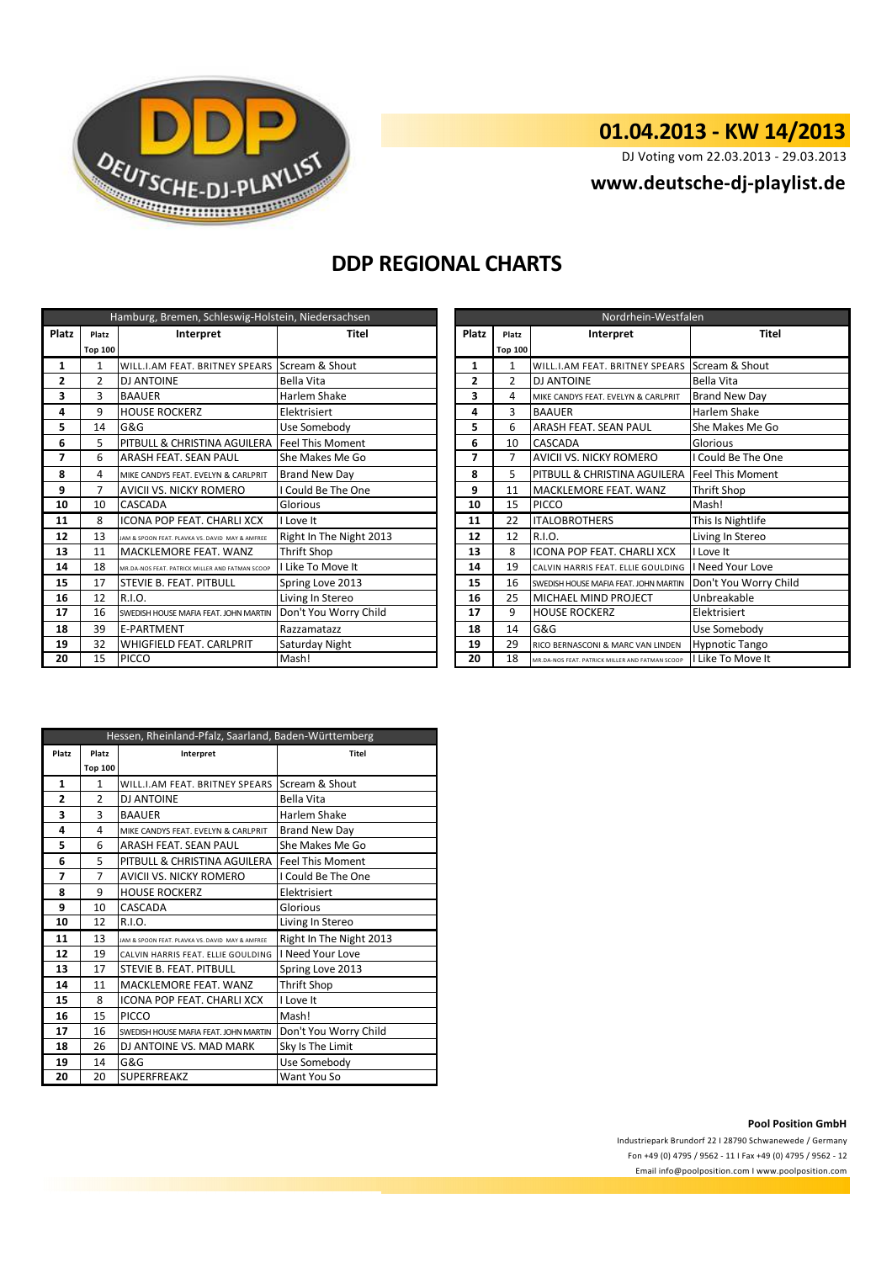

# **01.04.2013 - KW 14/2013**

DJ Voting vom 22.03.2013 - 29.03.2013

## **<www.deutsche-dj-playlist.de>**

## **DDP REGIONAL CHARTS**

| Hamburg, Bremen, Schleswig-Holstein, Niedersachsen |                |                                                 |                         | Nordrhein-Westfalen |                |                                                 |                         |
|----------------------------------------------------|----------------|-------------------------------------------------|-------------------------|---------------------|----------------|-------------------------------------------------|-------------------------|
| <b>Platz</b>                                       | Platz          | <b>Platz</b><br>Interpret<br>Titel<br>Platz     |                         |                     | Interpret      | <b>Titel</b>                                    |                         |
|                                                    | <b>Top 100</b> |                                                 |                         |                     | <b>Top 100</b> |                                                 |                         |
| 1                                                  | 1              | WILL.I.AM FEAT. BRITNEY SPEARS                  | Scream & Shout          | 1                   | 1              | WILL.I.AM FEAT. BRITNEY SPEARS Scream & Shout   |                         |
| $\overline{2}$                                     | $\overline{2}$ | <b>DJ ANTOINE</b>                               | Bella Vita              | $\overline{2}$      | $\overline{2}$ | <b>DJ ANTOINE</b>                               | Bella Vita              |
| 3                                                  | 3              | <b>BAAUER</b>                                   | Harlem Shake            | 3                   | 4              | MIKE CANDYS FEAT. EVELYN & CARLPRIT             | <b>Brand New Day</b>    |
| 4                                                  | 9              | <b>HOUSE ROCKERZ</b>                            | Elektrisiert            | 4                   | 3              | Harlem Shake<br><b>BAAUER</b>                   |                         |
| 5                                                  | 14             | G&G                                             | Use Somebody            | 5                   | 6              | <b>ARASH FEAT. SEAN PAUL</b>                    | She Makes Me Go         |
| 6                                                  | 5              | PITBULL & CHRISTINA AGUILERA                    | <b>Feel This Moment</b> | 6                   | 10             | <b>CASCADA</b>                                  | Glorious                |
| 7                                                  | 6              | ARASH FEAT. SEAN PAUL                           | She Makes Me Go         | 7                   | 7              | AVICII VS. NICKY ROMERO                         | I Could Be The One      |
| 8                                                  | Δ              | MIKE CANDYS FEAT. EVELYN & CARLPRIT             | Brand New Day           | 8                   | 5              | PITBULL & CHRISTINA AGUILERA                    | <b>Feel This Moment</b> |
| 9                                                  | $\overline{7}$ | AVICII VS. NICKY ROMERO                         | I Could Be The One      | 9                   | 11             | MACKLEMORE FEAT. WANZ                           | Thrift Shop             |
| 10                                                 | 10             | <b>CASCADA</b>                                  | Glorious                | 10                  | 15             | <b>PICCO</b>                                    | Mash!                   |
| 11                                                 | 8              | <b>ICONA POP FEAT. CHARLI XCX</b>               | I Love It               | 11                  | 22             | <b>ITALOBROTHERS</b>                            | This Is Nightlife       |
| 12                                                 | 13             | JAM & SPOON FEAT. PLAVKA VS. DAVID MAY & AMFREE | Right In The Night 2013 | 12                  | 12             | R.I.O.                                          | Living In Stereo        |
| 13                                                 | 11             | <b>MACKLEMORE FEAT. WANZ</b>                    | Thrift Shop             | 13                  | 8              | <b>ICONA POP FEAT, CHARLI XCX</b>               | I Love It               |
| 14                                                 | 18             | MR.DA-NOS FEAT. PATRICK MILLER AND FATMAN SCOOP | I Like To Move It       | 14                  | 19             | CALVIN HARRIS FEAT. ELLIE GOULDING              | I Need Your Love        |
| 15                                                 | 17             | <b>STEVIE B. FEAT. PITBULL</b>                  | Spring Love 2013        | 15                  | 16             | SWEDISH HOUSE MAFIA FEAT. JOHN MARTIN           | Don't You Worry Child   |
| 16                                                 | 12             | R.I.O.                                          | Living In Stereo        | 16                  | 25             | MICHAEL MIND PROJECT                            | Unbreakable             |
| 17                                                 | 16             | SWEDISH HOUSE MAFIA FEAT. JOHN MARTIN           | Don't You Worry Child   | 17                  | 9              | <b>HOUSE ROCKERZ</b>                            | Elektrisiert            |
| 18                                                 | 39             | <b>E-PARTMENT</b>                               | Razzamatazz             | 18                  | 14             | G&G                                             | Use Somebody            |
| 19                                                 | 32             | <b>WHIGFIELD FEAT. CARLPRIT</b>                 | Saturday Night          | 19                  | 29             | RICO BERNASCONI & MARC VAN LINDEN               | <b>Hypnotic Tango</b>   |
| 20                                                 | 15             | <b>PICCO</b>                                    | Mash!                   | 20                  | 18             | MR.DA-NOS FEAT. PATRICK MILLER AND FATMAN SCOOP | I Like To Move It       |

| Nordrhein-Westfalen |                    |                                                 |                         |  |
|---------------------|--------------------|-------------------------------------------------|-------------------------|--|
| <b>Platz</b>        | Interpret<br>Platz |                                                 | <b>Titel</b>            |  |
|                     | <b>Top 100</b>     |                                                 |                         |  |
| 1                   | 1                  | WILL.I.AM FEAT. BRITNEY SPEARS                  | Scream & Shout          |  |
| 2                   | $\overline{2}$     | <b>DJ ANTOINE</b>                               | Bella Vita              |  |
| 3                   | 4                  | MIKE CANDYS FEAT. EVELYN & CARLPRIT             | <b>Brand New Day</b>    |  |
| 4                   | 3                  | <b>BAAUER</b>                                   | Harlem Shake            |  |
| 5                   | 6                  | ARASH FEAT. SEAN PAUL                           | She Makes Me Go         |  |
| 6                   | 10                 | CASCADA                                         | Glorious                |  |
| 7                   | 7                  | AVICII VS. NICKY ROMERO                         | I Could Be The One      |  |
| 8                   | 5                  | PITBULL & CHRISTINA AGUILERA                    | <b>Feel This Moment</b> |  |
| 9                   | 11                 | MACKLEMORE FEAT. WANZ                           | Thrift Shop             |  |
| 10                  | 15                 | <b>PICCO</b>                                    | Mash!                   |  |
| 11                  | 22                 | <b>ITALOBROTHERS</b>                            | This Is Nightlife       |  |
| 12                  | 12                 | R.I.O.                                          | Living In Stereo        |  |
| 13                  | 8                  | <b>ICONA POP FEAT. CHARLI XCX</b>               | I Love It               |  |
| 14                  | 19                 | CALVIN HARRIS FEAT. ELLIE GOULDING              | I Need Your Love        |  |
| 15                  | 16                 | SWEDISH HOUSE MAFIA FEAT. JOHN MARTIN           | Don't You Worry Child   |  |
| 16                  | 25                 | MICHAEL MIND PROJECT                            | Unbreakable             |  |
| 17                  | 9                  | <b>HOUSE ROCKERZ</b>                            | Elektrisiert            |  |
| 18                  | 14                 | G&G                                             | Use Somebody            |  |
| 19                  | 29                 | RICO BERNASCONI & MARC VAN LINDEN               | <b>Hypnotic Tango</b>   |  |
| 20                  | 18                 | MR.DA-NOS FEAT, PATRICK MILLER AND FATMAN SCOOP | I Like To Move It       |  |

| Hessen, Rheinland-Pfalz, Saarland, Baden-Württemberg |                |                                                 |                         |  |
|------------------------------------------------------|----------------|-------------------------------------------------|-------------------------|--|
| Platz                                                | Platz          | Interpret                                       | <b>Titel</b>            |  |
|                                                      | <b>Top 100</b> |                                                 |                         |  |
| 1                                                    | $\mathbf{1}$   | WILL.I.AM FEAT. BRITNEY SPEARS                  | Scream & Shout          |  |
| 2                                                    | $\overline{2}$ | DJ ANTOINE                                      | Bella Vita              |  |
| 3                                                    | 3              | <b>BAAUER</b>                                   | Harlem Shake            |  |
| 4                                                    | 4              | MIKE CANDYS FEAT. FVELYN & CARLPRIT             | <b>Brand New Day</b>    |  |
| 5                                                    | 6              | ARASH FEAT, SEAN PAUL                           | She Makes Me Go         |  |
| 6                                                    | 5              | PITBULL & CHRISTINA AGUILERA Feel This Moment   |                         |  |
| 7                                                    | 7              | <b>AVICII VS. NICKY ROMERO</b>                  | I Could Be The One      |  |
| 8                                                    | 9              | <b>HOUSE ROCKERZ</b>                            | Elektrisiert            |  |
| 9                                                    | 10             | CASCADA                                         | Glorious                |  |
| 10                                                   | 12             | R.I.O.                                          | Living In Stereo        |  |
| 11                                                   | 13             | JAM & SPOON FEAT. PLAVKA VS. DAVID MAY & AMFREE | Right In The Night 2013 |  |
| 12                                                   | 19             | CALVIN HARRIS FEAT. ELLIE GOULDING              | <b>I Need Your Love</b> |  |
| 13                                                   | 17             | STEVIE B. FEAT. PITBULL                         | Spring Love 2013        |  |
| 14                                                   | 11             | MACKLEMORE FEAT, WANZ                           | <b>Thrift Shop</b>      |  |
| 15                                                   | 8              | <b>ICONA POP FEAT, CHARLI XCX</b>               | I Love It               |  |
| 16                                                   | 15             | PICCO                                           | Mash!                   |  |
| 17                                                   | 16             | SWEDISH HOUSE MAFIA FEAT. JOHN MARTIN           | Don't You Worry Child   |  |
| 18                                                   | 26             | DJ ANTOINE VS. MAD MARK                         | Sky Is The Limit        |  |
| 19                                                   | 14             | G&G                                             | Use Somebody            |  |
| 20                                                   | 20             | <b>SUPERFREAKZ</b>                              | Want You So             |  |

### **Pool Position GmbH**

Industriepark Brundorf 22 I 28790 Schwanewede / Germany Fon +49 (0) 4795 / 9562 - 11 I Fax +49 (0) 4795 / 9562 - 12 <Email info@poolposition.com I www.poolposition.com>